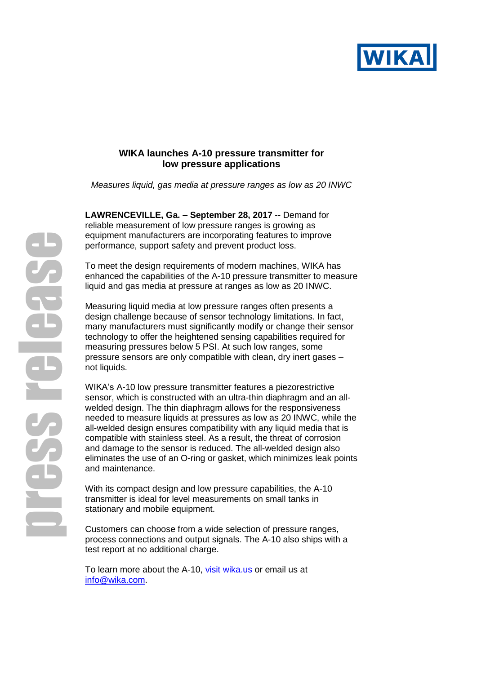

## **WIKA launches A-10 pressure transmitter for low pressure applications**

*Measures liquid, gas media at pressure ranges as low as 20 INWC* 

**LAWRENCEVILLE, Ga. – September 28, 2017** -- Demand for reliable measurement of low pressure ranges is growing as equipment manufacturers are incorporating features to improve performance, support safety and prevent product loss.

To meet the design requirements of modern machines, WIKA has enhanced the capabilities of the A-10 pressure transmitter to measure liquid and gas media at pressure at ranges as low as 20 INWC.

Measuring liquid media at low pressure ranges often presents a design challenge because of sensor technology limitations. In fact, many manufacturers must significantly modify or change their sensor technology to offer the heightened sensing capabilities required for measuring pressures below 5 PSI. At such low ranges, some pressure sensors are only compatible with clean, dry inert gases – not liquids.

WIKA's A-10 low pressure transmitter features a piezorestrictive sensor, which is constructed with an ultra-thin diaphragm and an allwelded design. The thin diaphragm allows for the responsiveness needed to measure liquids at pressures as low as 20 INWC, while the all-welded design ensures compatibility with any liquid media that is compatible with stainless steel. As a result, the threat of corrosion and damage to the sensor is reduced. The all-welded design also eliminates the use of an O-ring or gasket, which minimizes leak points and maintenance.

With its compact design and low pressure capabilities, the A-10 transmitter is ideal for level measurements on small tanks in stationary and mobile equipment.

Customers can choose from a wide selection of pressure ranges, process connections and output signals. The A-10 also ships with a test report at no additional charge.

To learn more about the A-10, [visit wika.us](http://www.wika.us/a_10_en_us.WIKA) or email us at [info@wika.com.](mailto:info@wika.com)